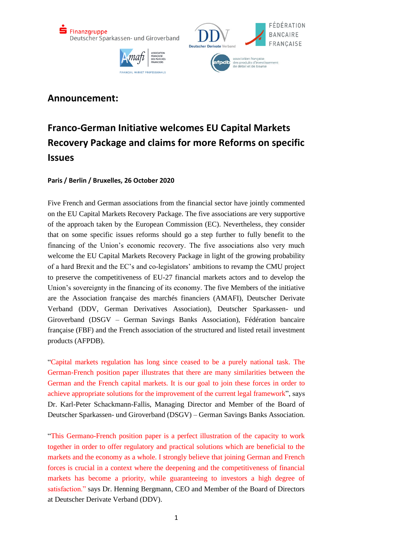



## **Announcement:**

## **Franco-German Initiative welcomes EU Capital Markets Recovery Package and claims for more Reforms on specific Issues**

## **Paris / Berlin / Bruxelles, 26 October 2020**

Five French and German associations from the financial sector have jointly commented on the EU Capital Markets Recovery Package. The five associations are very supportive of the approach taken by the European Commission (EC). Nevertheless, they consider that on some specific issues reforms should go a step further to fully benefit to the financing of the Union's economic recovery. The five associations also very much welcome the EU Capital Markets Recovery Package in light of the growing probability of a hard Brexit and the EC's and co-legislators' ambitions to revamp the CMU project to preserve the competitiveness of EU-27 financial markets actors and to develop the Union's sovereignty in the financing of its economy. The five Members of the initiative are the Association française des marchés financiers (AMAFI), Deutscher Derivate Verband (DDV, German Derivatives Association), Deutscher Sparkassen- und Giroverband (DSGV – German Savings Banks Association), Fédération bancaire française (FBF) and the French association of the structured and listed retail investment products (AFPDB).

"Capital markets regulation has long since ceased to be a purely national task. The German-French position paper illustrates that there are many similarities between the German and the French capital markets. It is our goal to join these forces in order to achieve appropriate solutions for the improvement of the current legal framework", says Dr. Karl-Peter Schackmann-Fallis, Managing Director and Member of the Board of Deutscher Sparkassen- und Giroverband (DSGV) – German Savings Banks Association.

"This Germano-French position paper is a perfect illustration of the capacity to work together in order to offer regulatory and practical solutions which are beneficial to the markets and the economy as a whole. I strongly believe that joining German and French forces is crucial in a context where the deepening and the competitiveness of financial markets has become a priority, while guaranteeing to investors a high degree of satisfaction." says Dr. Henning Bergmann, CEO and Member of the Board of Directors at Deutscher Derivate Verband (DDV).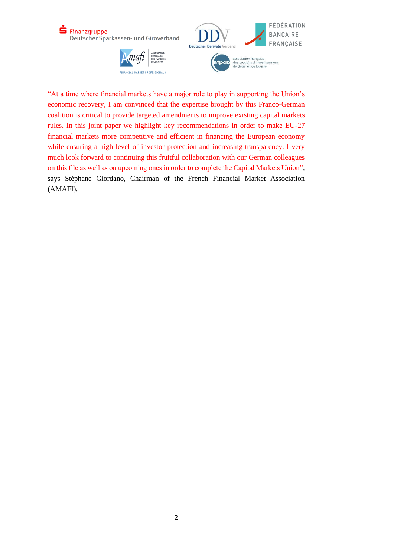

"At a time where financial markets have a major role to play in supporting the Union's economic recovery, I am convinced that the expertise brought by this Franco-German coalition is critical to provide targeted amendments to improve existing capital markets rules. In this joint paper we highlight key recommendations in order to make EU-27 financial markets more competitive and efficient in financing the European economy while ensuring a high level of investor protection and increasing transparency. I very much look forward to continuing this fruitful collaboration with our German colleagues on this file as well as on upcoming ones in order to complete the Capital Markets Union", says Stéphane Giordano, Chairman of the French Financial Market Association (AMAFI).